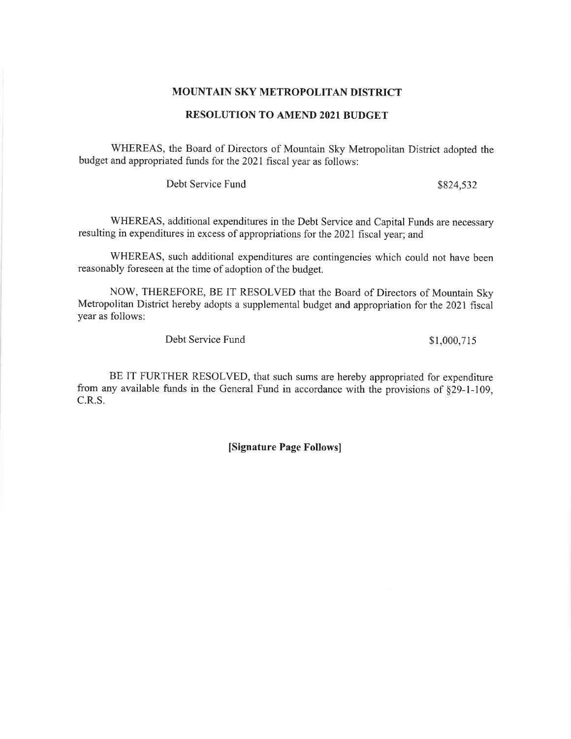## MOUNTAIN SKY METROPOLITAN DISTRICT

# **RESOLUTION TO AMEND 2021 BUDGET**

WHEREAS, the Board of Directors of Mountain Sky Metropolitan District adopted the budget and appropriated funds for the 2021 fiscal year as follows:

Debt Service Fund

\$824,532

WHEREAS, additional expenditures in the Debt Service and Capital Funds are necessary resulting in expenditures in excess of appropriations for the 2021 fiscal year; and

WHEREAS, such additional expenditures are contingencies which could not have been reasonably foreseen at the time of adoption of the budget.

NOW, THEREFORE, BE IT RESOLVED that the Board of Directors of Mountain Sky Metropolitan District hereby adopts a supplemental budget and appropriation for the 2021 fiscal year as follows:

Debt Service Fund

\$1,000,715

BE IT FURTHER RESOLVED, that such sums are hereby appropriated for expenditure from any available funds in the General Fund in accordance with the provisions of §29-1-109, C.R.S.

[Signature Page Follows]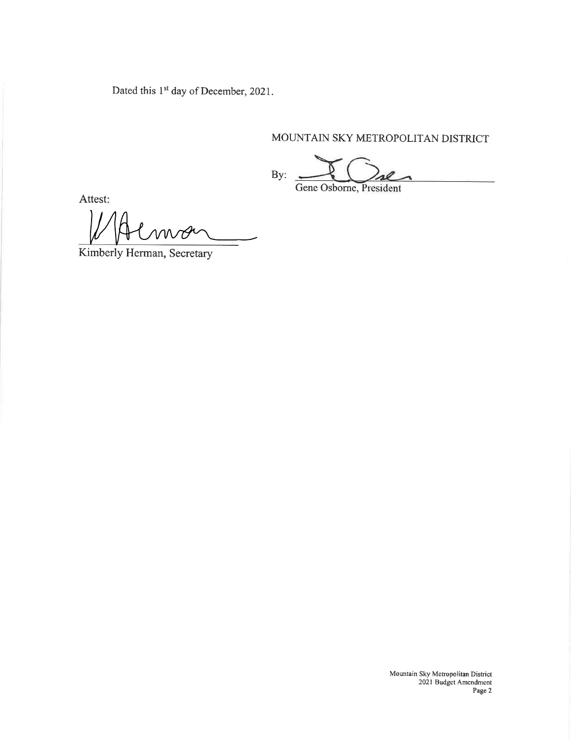Dated this 1<sup>st</sup> day of December, 2021.

# MOUNTAIN SKY METROPOLITAN DISTRICT

By: Gene Osborne, President

Attest:

WA

Kimberly Herman, Secretary

Mountain Sky Mctropolitan District<br>2021 Budget Amendment<br>Page 2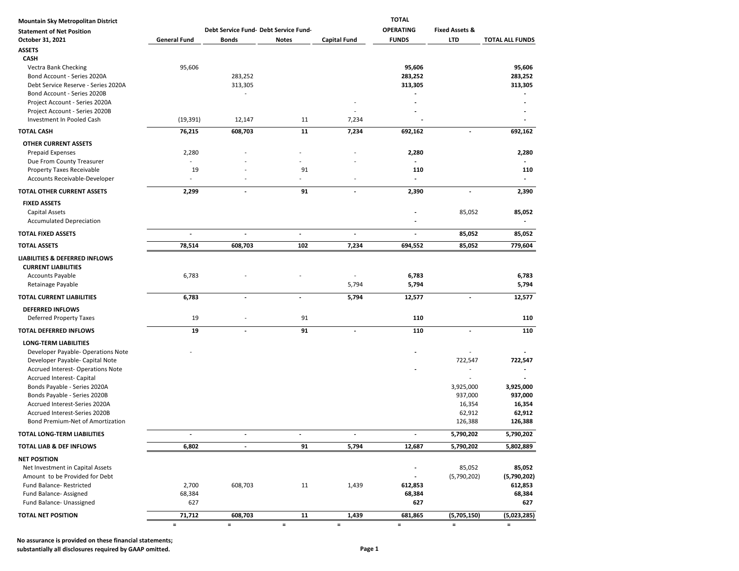| Mountain Sky Metropolitan District                           |                     |                                       | <b>TOTAL</b>             |                          |                          |                           |                        |  |  |
|--------------------------------------------------------------|---------------------|---------------------------------------|--------------------------|--------------------------|--------------------------|---------------------------|------------------------|--|--|
| <b>Statement of Net Position</b>                             |                     | Debt Service Fund- Debt Service Fund- |                          |                          | <b>OPERATING</b>         | <b>Fixed Assets &amp;</b> |                        |  |  |
| October 31, 2021                                             | <b>General Fund</b> | Bonds                                 | Notes                    | <b>Capital Fund</b>      | <b>FUNDS</b>             | LTD                       | <b>TOTAL ALL FUNDS</b> |  |  |
| <b>ASSETS</b>                                                |                     |                                       |                          |                          |                          |                           |                        |  |  |
| CASH                                                         |                     |                                       |                          |                          |                          |                           |                        |  |  |
| Vectra Bank Checking                                         | 95,606              |                                       |                          |                          | 95,606                   |                           | 95,606                 |  |  |
| Bond Account - Series 2020A                                  |                     | 283,252                               |                          |                          | 283,252                  |                           | 283,252                |  |  |
| Debt Service Reserve - Series 2020A                          |                     | 313,305                               |                          |                          | 313,305                  |                           | 313,305                |  |  |
| Bond Account - Series 2020B                                  |                     |                                       |                          |                          |                          |                           |                        |  |  |
| Project Account - Series 2020A                               |                     |                                       |                          |                          |                          |                           |                        |  |  |
| Project Account - Series 2020B                               |                     |                                       |                          |                          |                          |                           |                        |  |  |
| Investment In Pooled Cash                                    | (19, 391)           | 12,147                                | 11                       | 7,234                    |                          |                           |                        |  |  |
| <b>TOTAL CASH</b>                                            | 76,215              | 608,703                               | 11                       | 7,234                    | 692,162                  |                           | 692,162                |  |  |
| <b>OTHER CURRENT ASSETS</b>                                  |                     |                                       |                          |                          |                          |                           |                        |  |  |
| <b>Prepaid Expenses</b>                                      | 2,280               |                                       |                          |                          | 2,280                    |                           | 2,280                  |  |  |
| Due From County Treasurer                                    |                     |                                       |                          |                          | $\overline{\phantom{a}}$ |                           |                        |  |  |
| Property Taxes Receivable                                    | 19                  |                                       | 91                       |                          | 110                      |                           | 110                    |  |  |
| Accounts Receivable-Developer                                |                     |                                       |                          |                          | $\overline{a}$           |                           |                        |  |  |
| TOTAL OTHER CURRENT ASSETS                                   | 2,299               | $\tilde{\phantom{a}}$                 | 91                       | $\tilde{\phantom{a}}$    | 2,390                    | $\blacksquare$            | 2,390                  |  |  |
| <b>FIXED ASSETS</b>                                          |                     |                                       |                          |                          |                          |                           |                        |  |  |
| <b>Capital Assets</b>                                        |                     |                                       |                          |                          |                          | 85,052                    | 85,052                 |  |  |
| <b>Accumulated Depreciation</b>                              |                     |                                       |                          |                          |                          |                           |                        |  |  |
| <b>TOTAL FIXED ASSETS</b>                                    |                     | Ĭ.                                    | $\overline{\phantom{a}}$ | $\overline{a}$           |                          | 85,052                    | 85,052                 |  |  |
| <b>TOTAL ASSETS</b>                                          | 78,514              | 608,703                               | 102                      | 7,234                    | 694,552                  | 85,052                    | 779,604                |  |  |
| LIABILITIES & DEFERRED INFLOWS<br><b>CURRENT LIABILITIES</b> |                     |                                       |                          |                          |                          |                           |                        |  |  |
| <b>Accounts Payable</b><br>Retainage Payable                 | 6,783               |                                       |                          | 5,794                    | 6,783<br>5,794           |                           | 6,783<br>5,794         |  |  |
| TOTAL CURRENT LIABILITIES                                    | 6,783               | $\blacksquare$                        | $\frac{1}{2}$            | 5,794                    | 12,577                   | $\overline{\phantom{a}}$  | 12,577                 |  |  |
| <b>DEFERRED INFLOWS</b>                                      |                     |                                       |                          |                          |                          |                           |                        |  |  |
| Deferred Property Taxes                                      | 19                  |                                       | 91                       |                          | 110                      |                           | 110                    |  |  |
| <b>TOTAL DEFERRED INFLOWS</b>                                | 19                  | $\overline{\phantom{a}}$              | 91                       | $\overline{\phantom{a}}$ | 110                      | $\overline{\phantom{a}}$  | 110                    |  |  |
| <b>LONG-TERM LIABILITIES</b>                                 |                     |                                       |                          |                          |                          |                           |                        |  |  |
| Developer Payable- Operations Note                           |                     |                                       |                          |                          |                          |                           |                        |  |  |
| Developer Payable- Capital Note                              |                     |                                       |                          |                          |                          | 722,547                   | 722,547                |  |  |
| <b>Accrued Interest- Operations Note</b>                     |                     |                                       |                          |                          |                          |                           |                        |  |  |
| Accrued Interest- Capital                                    |                     |                                       |                          |                          |                          |                           |                        |  |  |
| Bonds Payable - Series 2020A                                 |                     |                                       |                          |                          |                          | 3,925,000                 | 3,925,000              |  |  |
| Bonds Payable - Series 2020B                                 |                     |                                       |                          |                          |                          | 937,000                   | 937,000                |  |  |
| Accrued Interest-Series 2020A                                |                     |                                       |                          |                          |                          | 16,354                    | 16,354                 |  |  |
| Accrued Interest-Series 2020B                                |                     |                                       |                          |                          |                          | 62,912                    | 62,912                 |  |  |
| Bond Premium-Net of Amortization                             |                     |                                       |                          |                          |                          | 126,388                   | 126,388                |  |  |
| TOTAL LONG-TERM LIABILITIES                                  |                     | $\overline{\phantom{a}}$              |                          |                          | $\overline{\phantom{a}}$ | 5,790,202                 | 5,790,202              |  |  |
| TOTAL LIAB & DEF INFLOWS                                     | 6,802               | $\overline{\phantom{a}}$              | 91                       | 5,794                    | 12,687                   | 5,790,202                 | 5,802,889              |  |  |
| <b>NET POSITION</b>                                          |                     |                                       |                          |                          |                          |                           |                        |  |  |
| Net Investment in Capital Assets                             |                     |                                       |                          |                          |                          | 85,052                    | 85,052                 |  |  |
| Amount to be Provided for Debt                               |                     |                                       |                          |                          | $\overline{\phantom{a}}$ | (5,790,202)               | (5,790,202)            |  |  |
| <b>Fund Balance- Restricted</b>                              | 2,700               | 608,703                               | 11                       | 1,439                    | 612,853                  |                           | 612,853                |  |  |
| Fund Balance- Assigned                                       | 68,384              |                                       |                          |                          | 68,384                   |                           | 68,384                 |  |  |
| Fund Balance- Unassigned                                     | 627                 |                                       |                          |                          | 627                      |                           | 627                    |  |  |
| TOTAL NET POSITION                                           | 71,712              | 608,703                               | 11                       | 1,439                    | 681,865                  | (5,705,150)               | (5,023,285)            |  |  |
|                                                              | $\equiv$            | $\equiv$                              | $\equiv$                 | $\equiv$                 | $\equiv$                 | $\equiv$                  | $\equiv$               |  |  |

**No assurance is provided on these financial statements;**

**substantially all disclosures required by GAAP omitted. Page 1**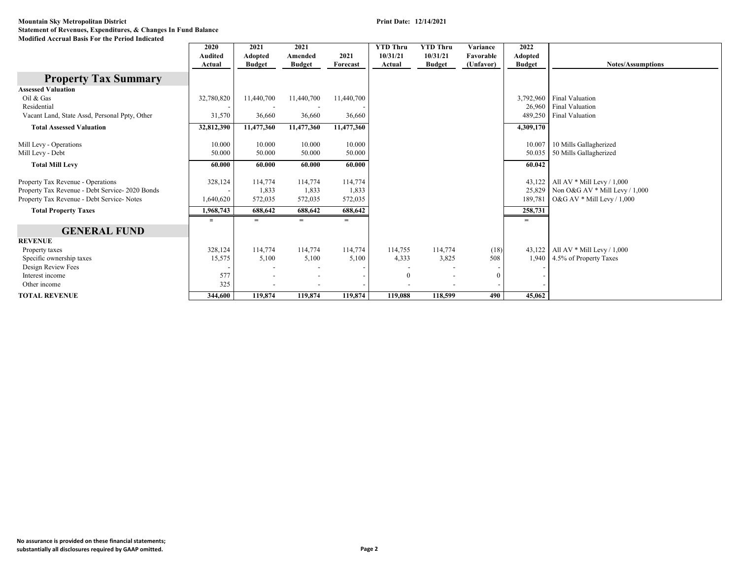|                                                 | 2020       | 2021                     | 2021          |            | <b>YTD Thru</b> | <b>YTD Thru</b>          | Variance       | 2022          |                                  |
|-------------------------------------------------|------------|--------------------------|---------------|------------|-----------------|--------------------------|----------------|---------------|----------------------------------|
|                                                 | Audited    | Adopted                  | Amended       | 2021       | 10/31/21        | 10/31/21                 | Favorable      | Adopted       |                                  |
|                                                 | Actual     | <b>Budget</b>            | <b>Budget</b> | Forecast   | Actual          | <b>Budget</b>            | (Unfavor)      | <b>Budget</b> | <b>Notes/Assumptions</b>         |
| <b>Property Tax Summary</b>                     |            |                          |               |            |                 |                          |                |               |                                  |
| <b>Assessed Valuation</b>                       |            |                          |               |            |                 |                          |                |               |                                  |
| Oil & Gas                                       | 32,780,820 | 11,440,700               | 11,440,700    | 11,440,700 |                 |                          |                | 3,792,960     | <b>Final Valuation</b>           |
| Residential                                     |            |                          |               |            |                 |                          |                | 26,960        | <b>Final Valuation</b>           |
| Vacant Land, State Assd, Personal Ppty, Other   | 31,570     | 36,660                   | 36,660        | 36,660     |                 |                          |                | 489,250       | <b>Final Valuation</b>           |
| <b>Total Assessed Valuation</b>                 | 32,812,390 | 11,477,360               | 11,477,360    | 11,477,360 |                 |                          |                | 4,309,170     |                                  |
| Mill Levy - Operations                          | 10.000     | 10.000                   | 10.000        | 10.000     |                 |                          |                | 10.007        | 10 Mills Gallagherized           |
| Mill Levy - Debt                                | 50.000     | 50.000                   | 50.000        | 50.000     |                 |                          |                | 50.035        | 50 Mills Gallagherized           |
| <b>Total Mill Levy</b>                          | 60.000     | 60.000                   | 60.000        | 60.000     |                 |                          |                | 60.042        |                                  |
| Property Tax Revenue - Operations               | 328,124    | 114,774                  | 114,774       | 114,774    |                 |                          |                | 43,122        | All AV $*$ Mill Levy / 1,000     |
| Property Tax Revenue - Debt Service- 2020 Bonds |            | 1,833                    | 1,833         | 1,833      |                 |                          |                | 25,829        | Non O&G AV $*$ Mill Levy / 1,000 |
| Property Tax Revenue - Debt Service- Notes      | 1,640,620  | 572,035                  | 572,035       | 572,035    |                 |                          |                | 189,781       | O&G AV $*$ Mill Levy / 1,000     |
| <b>Total Property Taxes</b>                     | 1,968,743  | 688,642                  | 688,642       | 688.642    |                 |                          |                | 258,731       |                                  |
|                                                 | $=$        | $=$                      | $=$           | $=$        |                 |                          |                | $=$           |                                  |
| <b>GENERAL FUND</b>                             |            |                          |               |            |                 |                          |                |               |                                  |
| <b>REVENUE</b>                                  |            |                          |               |            |                 |                          |                |               |                                  |
| Property taxes                                  | 328,124    | 114,774                  | 114,774       | 114,774    | 114,755         | 114,774                  | (18)           | 43,122        | All AV $*$ Mill Levy / 1,000     |
| Specific ownership taxes                        | 15,575     | 5,100                    | 5,100         | 5,100      | 4,333           | 3,825                    | 508            | 1,940         | 4.5% of Property Taxes           |
| Design Review Fees                              |            |                          |               |            |                 |                          |                |               |                                  |
| Interest income                                 | 577        | $\overline{\phantom{a}}$ |               |            | $\theta$        | $\overline{\phantom{a}}$ | $\overline{0}$ |               |                                  |
| Other income                                    | 325        | $\overline{\phantom{a}}$ |               |            |                 | $\overline{\phantom{0}}$ |                |               |                                  |
| <b>TOTAL REVENUE</b>                            | 344,600    | 119,874                  | 119,874       | 119,874    | 119,088         | 118,599                  | 490            | 45,062        |                                  |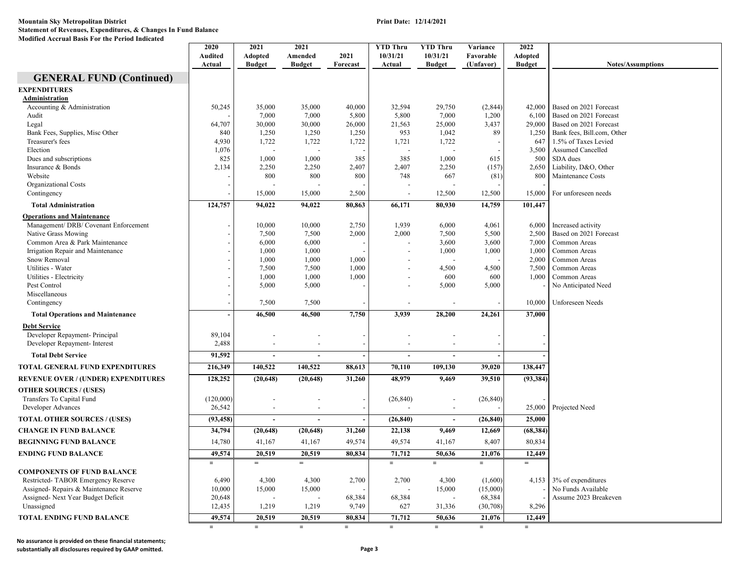|                                            | 2020<br><b>Audited</b><br>Actual | 2021<br><b>Adopted</b><br><b>Budget</b> | 2021<br>Amended<br><b>Budget</b> | 2021<br>Forecast | <b>YTD Thru</b><br>10/31/21<br>Actual | <b>YTD Thru</b><br>10/31/21<br><b>Budget</b> | Variance<br>Favorable<br>(Unfavor) | 2022<br>Adopted<br><b>Budget</b> | <b>Notes/Assumptions</b>   |
|--------------------------------------------|----------------------------------|-----------------------------------------|----------------------------------|------------------|---------------------------------------|----------------------------------------------|------------------------------------|----------------------------------|----------------------------|
| <b>GENERAL FUND (Continued)</b>            |                                  |                                         |                                  |                  |                                       |                                              |                                    |                                  |                            |
| <b>EXPENDITURES</b>                        |                                  |                                         |                                  |                  |                                       |                                              |                                    |                                  |                            |
| Administration                             |                                  |                                         |                                  |                  |                                       |                                              |                                    |                                  |                            |
| Accounting & Administration                | 50,245                           | 35,000                                  | 35,000                           | 40,000           | 32,594                                | 29,750                                       | (2,844)                            | 42,000                           | Based on 2021 Forecast     |
| Audit                                      |                                  | 7,000                                   | 7,000                            | 5,800            | 5,800                                 | 7,000                                        | 1,200                              | 6,100                            | Based on 2021 Forecast     |
| Legal                                      | 64,707                           | 30,000                                  | 30,000                           | 26,000           | 21,563                                | 25,000                                       | 3,437                              | 29,000                           | Based on 2021 Forecast     |
| Bank Fees, Supplies, Misc Other            | 840                              | 1,250                                   | 1,250                            | 1,250            | 953                                   | 1,042                                        | 89                                 | 1,250                            | Bank fees, Bill.com, Other |
| Treasurer's fees                           | 4,930                            | 1,722                                   | 1,722                            | 1,722            | 1,721                                 | 1,722                                        |                                    | 647                              | 1.5% of Taxes Levied       |
| Election                                   | 1,076                            | $\overline{a}$                          |                                  |                  |                                       |                                              |                                    | 3,500                            | Assumed Cancelled          |
| Dues and subscriptions                     | 825                              | 1,000                                   | 1,000                            | 385              | 385                                   | 1,000                                        | 615                                | 500                              | SDA dues                   |
| Insurance & Bonds                          | 2,134                            | 2,250                                   | 2,250                            | 2,407            | 2,407                                 | 2,250                                        | (157)                              | 2,650                            | Liability, D&O, Other      |
| Website                                    |                                  | 800                                     | 800                              | 800              | 748                                   | 667                                          | (81)                               | 800                              | Maintenance Costs          |
| Organizational Costs                       |                                  |                                         |                                  |                  |                                       |                                              |                                    |                                  |                            |
| Contingency                                |                                  | 15,000                                  | 15,000                           | 2,500            | $\overline{\phantom{a}}$              | 12,500                                       | 12,500                             | 15,000                           | For unforeseen needs       |
| <b>Total Administration</b>                | 124,757                          | 94,022                                  | 94,022                           | 80,863           | 66,171                                | 80,930                                       | 14,759                             | 101,447                          |                            |
| <b>Operations and Maintenance</b>          |                                  |                                         |                                  |                  |                                       |                                              |                                    |                                  |                            |
| Management/ DRB/ Covenant Enforcement      |                                  | 10,000                                  | 10,000                           | 2,750            | 1,939                                 | 6,000                                        | 4,061                              | 6,000                            | Increased activity         |
| Native Grass Mowing                        |                                  | 7,500                                   | 7,500                            | 2,000            | 2,000                                 | 7,500                                        | 5,500                              | 2,500                            | Based on 2021 Forecast     |
| Common Area & Park Maintenance             |                                  | 6,000                                   | 6,000                            |                  |                                       | 3,600                                        | 3,600                              | 7,000                            | Common Areas               |
| Irrigation Repair and Maintenance          |                                  | 1,000                                   | 1,000                            |                  |                                       | 1,000                                        | 1,000                              | 1,000                            | Common Areas               |
| Snow Removal                               |                                  | 1,000                                   | 1,000                            | 1,000            |                                       |                                              |                                    | 2,000                            | Common Areas               |
| Utilities - Water                          |                                  | 7,500                                   | 7.500                            | 1,000            |                                       | 4,500                                        | 4,500                              | 7,500                            | Common Areas               |
| Utilities - Electricity                    |                                  | 1,000                                   | 1,000                            | 1,000            |                                       | 600                                          | 600                                | 1,000                            | Common Areas               |
| Pest Control                               |                                  | 5,000                                   | 5,000                            |                  |                                       | 5,000                                        | 5,000                              |                                  | No Anticipated Need        |
| Miscellaneous                              |                                  |                                         |                                  |                  |                                       |                                              |                                    |                                  |                            |
| Contingency                                |                                  | 7,500                                   | 7,500                            |                  |                                       |                                              |                                    | 10,000                           | Unforeseen Needs           |
| <b>Total Operations and Maintenance</b>    |                                  | 46,500                                  | 46,500                           | 7,750            | 3,939                                 | 28,200                                       | 24,261                             | 37,000                           |                            |
| <b>Debt Service</b>                        |                                  |                                         |                                  |                  |                                       |                                              |                                    |                                  |                            |
| Developer Repayment- Principal             | 89,104                           |                                         |                                  |                  |                                       |                                              |                                    |                                  |                            |
| Developer Repayment- Interest              | 2,488                            | $\overline{\phantom{a}}$                | $\overline{\phantom{a}}$         |                  |                                       |                                              |                                    |                                  |                            |
| <b>Total Debt Service</b>                  | 91,592                           | $\sim$                                  | $\overline{\phantom{a}}$         |                  | $\sim$                                | $\blacksquare$                               |                                    |                                  |                            |
| TOTAL GENERAL FUND EXPENDITURES            | 216,349                          | 140,522                                 | 140,522                          | 88,613           | 70,110                                | 109,130                                      | 39,020                             | 138,447                          |                            |
| <b>REVENUE OVER / (UNDER) EXPENDITURES</b> | 128,252                          | (20, 648)                               | (20, 648)                        | 31,260           | 48.979                                | 9,469                                        | 39.510                             | (93, 384)                        |                            |
| <b>OTHER SOURCES / (USES)</b>              |                                  |                                         |                                  |                  |                                       |                                              |                                    |                                  |                            |
| Transfers To Capital Fund                  | (120,000)                        |                                         | $\overline{\phantom{a}}$         |                  | (26, 840)                             | $\overline{\phantom{a}}$                     | (26, 840)                          |                                  |                            |
| Developer Advances                         | 26,542                           |                                         |                                  |                  |                                       |                                              |                                    | 25,000                           | Projected Need             |
| <b>TOTAL OTHER SOURCES / (USES)</b>        | (93, 458)                        | $\sim$                                  | $\overline{\phantom{a}}$         |                  | (26, 840)                             | $\overline{a}$                               | (26, 840)                          | 25,000                           |                            |
| <b>CHANGE IN FUND BALANCE</b>              | 34,794                           | (20, 648)                               | (20, 648)                        | 31,260           | 22,138                                | 9,469                                        | 12,669                             | (68, 384)                        |                            |
| <b>BEGINNING FUND BALANCE</b>              | 14,780                           | 41,167                                  | 41,167                           | 49,574           | 49,574                                | 41,167                                       | 8,407                              | 80,834                           |                            |
|                                            |                                  |                                         |                                  |                  |                                       |                                              |                                    |                                  |                            |
| ENDING FUND BALANCE                        | 49,574<br>$=$                    | 20,519<br>$=$                           | 20,519<br>$=$                    | 80,834           | 71,712<br>$=$                         | 50,636<br>$=$                                | 21,076<br>$=$                      | 12,449<br>$=$                    |                            |
| <b>COMPONENTS OF FUND BALANCE</b>          |                                  |                                         |                                  |                  |                                       |                                              |                                    |                                  |                            |
| Restricted-TABOR Emergency Reserve         | 6,490                            | 4,300                                   | 4,300                            | 2,700            | 2,700                                 | 4,300                                        | (1,600)                            | 4,153                            | 3% of expenditures         |
| Assigned-Repairs & Maintenance Reserve     | 10,000                           | 15,000                                  | 15,000                           |                  |                                       | 15,000                                       | (15,000)                           |                                  | No Funds Available         |
| Assigned- Next Year Budget Deficit         | 20,648                           |                                         |                                  | 68,384           | 68,384                                |                                              | 68,384                             |                                  | Assume 2023 Breakeven      |
| Unassigned                                 | 12,435                           | 1,219                                   | 1,219                            | 9,749            | 627                                   | 31,336                                       | (30, 708)                          | 8,296                            |                            |
| TOTAL ENDING FUND BALANCE                  | 49,574                           | 20,519                                  | 20,519                           | 80,834           | 71,712                                | 50,636                                       | 21,076                             | 12,449                           |                            |
|                                            | $=$                              | $=$                                     | $=$                              | $=$              | $=$                                   | $=$                                          | $=$                                | $=$                              |                            |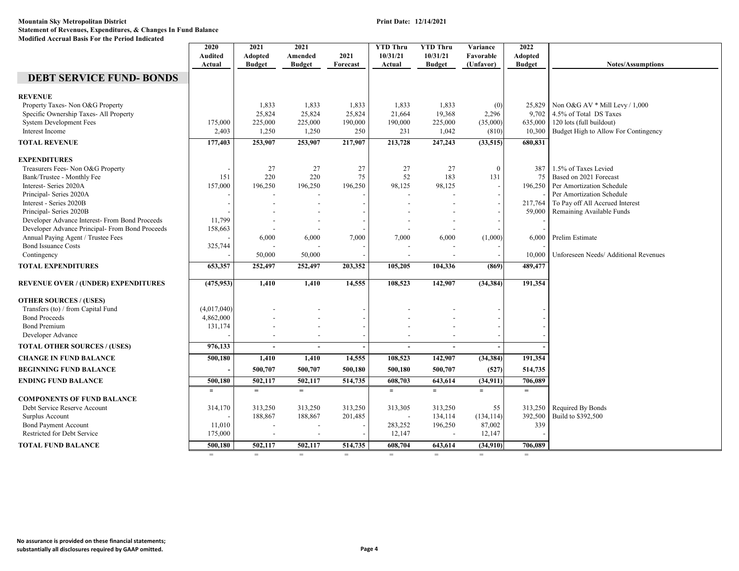| 10/31/21<br>10/31/21<br>Audited<br>Adopted<br>Amended<br>2021<br>Favorable<br>Adopted<br><b>Budget</b><br><b>Budget</b><br>Forecast<br>(Unfavor)<br><b>Budget</b><br><b>Notes/Assumptions</b><br>Actual<br>Actual<br><b>Budget</b><br><b>DEBT SERVICE FUND-BONDS</b><br><b>REVENUE</b><br>Property Taxes- Non O&G Property<br>1,833<br>1,833<br>1,833<br>1,833<br>25,829   Non O&G AV * Mill Levy / 1,000<br>1,833<br>(0)<br>9,702 4.5% of Total DS Taxes<br>Specific Ownership Taxes- All Property<br>25,824<br>25,824<br>25,824<br>21,664<br>19,368<br>2,296<br><b>System Development Fees</b><br>225,000<br>190,000<br>225,000<br>$635,000$   120 lots (full buildout)<br>175,000<br>225,000<br>190,000<br>(35,000)<br>Interest Income<br>2,403<br>231<br>1,042<br>Budget High to Allow For Contingency<br>1,250<br>1,250<br>250<br>(810)<br>10,300<br>177,403<br>253,907<br>247,243<br>(33,515)<br><b>TOTAL REVENUE</b><br>253,907<br>217,907<br>213,728<br>680,831<br><b>EXPENDITURES</b><br>27<br>27<br>27<br>27<br>27<br>$\overline{0}$<br>1.5% of Taxes Levied<br>Treasurers Fees- Non O&G Property<br>387<br>151<br>220<br>220<br>75<br>52<br>183<br>131<br>Based on 2021 Forecast<br>Bank/Trustee - Monthly Fee<br>75<br>Interest- Series 2020A<br>157,000<br>196,250<br>196,250<br>98,125<br>196,250 Per Amortization Schedule<br>196,250<br>98,125<br>Principal- Series 2020A<br>Per Amortization Schedule<br>Interest - Series 2020B<br>217,764<br>To Pay off All Accrued Interest<br>Principal- Series 2020B<br>59,000<br>Remaining Available Funds<br>11,799<br>Developer Advance Interest- From Bond Proceeds<br>Developer Advance Principal- From Bond Proceeds<br>158,663<br>Annual Paying Agent / Trustee Fees<br>6,000<br>6,000<br>7,000<br>7,000<br>6,000<br>(1,000)<br>6,000<br>Prelim Estimate<br><b>Bond Issuance Costs</b><br>325,744<br>Contingency<br>50,000<br>50,000<br>10,000<br>Unforeseen Needs/ Additional Revenues<br>653,357<br>252,497<br>252,497<br>104,336<br>(869)<br>489,477<br><b>TOTAL EXPENDITURES</b><br>203,352<br>105,205<br>108,523<br>142,907<br>191,354<br><b>REVENUE OVER / (UNDER) EXPENDITURES</b><br>(475, 953)<br>1,410<br>1,410<br>14,555<br>(34, 384)<br><b>OTHER SOURCES / (USES)</b><br>(4,017,040)<br>Transfers (to) / from Capital Fund<br><b>Bond Proceeds</b><br>4,862,000<br><b>Bond Premium</b><br>131,174<br>$\overline{\phantom{a}}$<br>Developer Advance<br>976,133<br><b>TOTAL OTHER SOURCES / (USES)</b><br>$\overline{a}$<br>$\overline{a}$<br>$\overline{a}$<br>$\blacksquare$<br>14,555<br>108,523<br>(34, 384)<br>191,354<br><b>CHANGE IN FUND BALANCE</b><br>500,180<br>1,410<br>1,410<br>142,907<br>500,707<br>500,180<br>500,707<br><b>BEGINNING FUND BALANCE</b><br>500,707<br>500,180<br>(527)<br>514,735<br>500,180<br>502,117<br>502,117<br>514,735<br>608,703<br>643,614<br>(34, 911)<br>706,089<br><b>ENDING FUND BALANCE</b><br>$=$<br>$=$<br>$=$<br>$=$<br>$=$<br>$=$<br>$=$<br><b>COMPONENTS OF FUND BALANCE</b><br>314,170<br>313,250<br>313,250<br>Required By Bonds<br>Debt Service Reserve Account<br>313,250<br>313,305<br>313,250<br>55<br>313,250<br>Build to \$392,500<br>Surplus Account<br>188,867<br>188,867<br>201,485<br>134,114<br>(134, 114)<br>392,500<br><b>Bond Payment Account</b><br>283,252<br>196,250<br>87,002<br>339<br>11,010<br>$\overline{a}$<br>$\overline{\phantom{a}}$<br>Restricted for Debt Service<br>175,000<br>12,147<br>12,147<br>$\overline{\phantom{a}}$<br>500,180<br>502,117<br>514,735<br>608,704<br>643,614<br><b>TOTAL FUND BALANCE</b><br>502,117<br>(34,910)<br>706.089<br>$=$<br>$=$<br>$=$<br>$=$<br>$=$<br>$=$<br>$=$<br>$=$ | 2020 | 2021 | 2021 | <b>YTD Thru</b> | <b>YTD Thru</b> | Variance | 2022 |  |
|-------------------------------------------------------------------------------------------------------------------------------------------------------------------------------------------------------------------------------------------------------------------------------------------------------------------------------------------------------------------------------------------------------------------------------------------------------------------------------------------------------------------------------------------------------------------------------------------------------------------------------------------------------------------------------------------------------------------------------------------------------------------------------------------------------------------------------------------------------------------------------------------------------------------------------------------------------------------------------------------------------------------------------------------------------------------------------------------------------------------------------------------------------------------------------------------------------------------------------------------------------------------------------------------------------------------------------------------------------------------------------------------------------------------------------------------------------------------------------------------------------------------------------------------------------------------------------------------------------------------------------------------------------------------------------------------------------------------------------------------------------------------------------------------------------------------------------------------------------------------------------------------------------------------------------------------------------------------------------------------------------------------------------------------------------------------------------------------------------------------------------------------------------------------------------------------------------------------------------------------------------------------------------------------------------------------------------------------------------------------------------------------------------------------------------------------------------------------------------------------------------------------------------------------------------------------------------------------------------------------------------------------------------------------------------------------------------------------------------------------------------------------------------------------------------------------------------------------------------------------------------------------------------------------------------------------------------------------------------------------------------------------------------------------------------------------------------------------------------------------------------------------------------------------------------------------------------------------------------------------------------------------------------------------------------------------------------------------------------------------------------------------------------------------------------------------------------------------------------------------------------------------------------------------------------------------------------------------------------------------------------------------------------------------|------|------|------|-----------------|-----------------|----------|------|--|
|                                                                                                                                                                                                                                                                                                                                                                                                                                                                                                                                                                                                                                                                                                                                                                                                                                                                                                                                                                                                                                                                                                                                                                                                                                                                                                                                                                                                                                                                                                                                                                                                                                                                                                                                                                                                                                                                                                                                                                                                                                                                                                                                                                                                                                                                                                                                                                                                                                                                                                                                                                                                                                                                                                                                                                                                                                                                                                                                                                                                                                                                                                                                                                                                                                                                                                                                                                                                                                                                                                                                                                                                                                                                   |      |      |      |                 |                 |          |      |  |
|                                                                                                                                                                                                                                                                                                                                                                                                                                                                                                                                                                                                                                                                                                                                                                                                                                                                                                                                                                                                                                                                                                                                                                                                                                                                                                                                                                                                                                                                                                                                                                                                                                                                                                                                                                                                                                                                                                                                                                                                                                                                                                                                                                                                                                                                                                                                                                                                                                                                                                                                                                                                                                                                                                                                                                                                                                                                                                                                                                                                                                                                                                                                                                                                                                                                                                                                                                                                                                                                                                                                                                                                                                                                   |      |      |      |                 |                 |          |      |  |
|                                                                                                                                                                                                                                                                                                                                                                                                                                                                                                                                                                                                                                                                                                                                                                                                                                                                                                                                                                                                                                                                                                                                                                                                                                                                                                                                                                                                                                                                                                                                                                                                                                                                                                                                                                                                                                                                                                                                                                                                                                                                                                                                                                                                                                                                                                                                                                                                                                                                                                                                                                                                                                                                                                                                                                                                                                                                                                                                                                                                                                                                                                                                                                                                                                                                                                                                                                                                                                                                                                                                                                                                                                                                   |      |      |      |                 |                 |          |      |  |
|                                                                                                                                                                                                                                                                                                                                                                                                                                                                                                                                                                                                                                                                                                                                                                                                                                                                                                                                                                                                                                                                                                                                                                                                                                                                                                                                                                                                                                                                                                                                                                                                                                                                                                                                                                                                                                                                                                                                                                                                                                                                                                                                                                                                                                                                                                                                                                                                                                                                                                                                                                                                                                                                                                                                                                                                                                                                                                                                                                                                                                                                                                                                                                                                                                                                                                                                                                                                                                                                                                                                                                                                                                                                   |      |      |      |                 |                 |          |      |  |
|                                                                                                                                                                                                                                                                                                                                                                                                                                                                                                                                                                                                                                                                                                                                                                                                                                                                                                                                                                                                                                                                                                                                                                                                                                                                                                                                                                                                                                                                                                                                                                                                                                                                                                                                                                                                                                                                                                                                                                                                                                                                                                                                                                                                                                                                                                                                                                                                                                                                                                                                                                                                                                                                                                                                                                                                                                                                                                                                                                                                                                                                                                                                                                                                                                                                                                                                                                                                                                                                                                                                                                                                                                                                   |      |      |      |                 |                 |          |      |  |
|                                                                                                                                                                                                                                                                                                                                                                                                                                                                                                                                                                                                                                                                                                                                                                                                                                                                                                                                                                                                                                                                                                                                                                                                                                                                                                                                                                                                                                                                                                                                                                                                                                                                                                                                                                                                                                                                                                                                                                                                                                                                                                                                                                                                                                                                                                                                                                                                                                                                                                                                                                                                                                                                                                                                                                                                                                                                                                                                                                                                                                                                                                                                                                                                                                                                                                                                                                                                                                                                                                                                                                                                                                                                   |      |      |      |                 |                 |          |      |  |
|                                                                                                                                                                                                                                                                                                                                                                                                                                                                                                                                                                                                                                                                                                                                                                                                                                                                                                                                                                                                                                                                                                                                                                                                                                                                                                                                                                                                                                                                                                                                                                                                                                                                                                                                                                                                                                                                                                                                                                                                                                                                                                                                                                                                                                                                                                                                                                                                                                                                                                                                                                                                                                                                                                                                                                                                                                                                                                                                                                                                                                                                                                                                                                                                                                                                                                                                                                                                                                                                                                                                                                                                                                                                   |      |      |      |                 |                 |          |      |  |
|                                                                                                                                                                                                                                                                                                                                                                                                                                                                                                                                                                                                                                                                                                                                                                                                                                                                                                                                                                                                                                                                                                                                                                                                                                                                                                                                                                                                                                                                                                                                                                                                                                                                                                                                                                                                                                                                                                                                                                                                                                                                                                                                                                                                                                                                                                                                                                                                                                                                                                                                                                                                                                                                                                                                                                                                                                                                                                                                                                                                                                                                                                                                                                                                                                                                                                                                                                                                                                                                                                                                                                                                                                                                   |      |      |      |                 |                 |          |      |  |
|                                                                                                                                                                                                                                                                                                                                                                                                                                                                                                                                                                                                                                                                                                                                                                                                                                                                                                                                                                                                                                                                                                                                                                                                                                                                                                                                                                                                                                                                                                                                                                                                                                                                                                                                                                                                                                                                                                                                                                                                                                                                                                                                                                                                                                                                                                                                                                                                                                                                                                                                                                                                                                                                                                                                                                                                                                                                                                                                                                                                                                                                                                                                                                                                                                                                                                                                                                                                                                                                                                                                                                                                                                                                   |      |      |      |                 |                 |          |      |  |
|                                                                                                                                                                                                                                                                                                                                                                                                                                                                                                                                                                                                                                                                                                                                                                                                                                                                                                                                                                                                                                                                                                                                                                                                                                                                                                                                                                                                                                                                                                                                                                                                                                                                                                                                                                                                                                                                                                                                                                                                                                                                                                                                                                                                                                                                                                                                                                                                                                                                                                                                                                                                                                                                                                                                                                                                                                                                                                                                                                                                                                                                                                                                                                                                                                                                                                                                                                                                                                                                                                                                                                                                                                                                   |      |      |      |                 |                 |          |      |  |
|                                                                                                                                                                                                                                                                                                                                                                                                                                                                                                                                                                                                                                                                                                                                                                                                                                                                                                                                                                                                                                                                                                                                                                                                                                                                                                                                                                                                                                                                                                                                                                                                                                                                                                                                                                                                                                                                                                                                                                                                                                                                                                                                                                                                                                                                                                                                                                                                                                                                                                                                                                                                                                                                                                                                                                                                                                                                                                                                                                                                                                                                                                                                                                                                                                                                                                                                                                                                                                                                                                                                                                                                                                                                   |      |      |      |                 |                 |          |      |  |
|                                                                                                                                                                                                                                                                                                                                                                                                                                                                                                                                                                                                                                                                                                                                                                                                                                                                                                                                                                                                                                                                                                                                                                                                                                                                                                                                                                                                                                                                                                                                                                                                                                                                                                                                                                                                                                                                                                                                                                                                                                                                                                                                                                                                                                                                                                                                                                                                                                                                                                                                                                                                                                                                                                                                                                                                                                                                                                                                                                                                                                                                                                                                                                                                                                                                                                                                                                                                                                                                                                                                                                                                                                                                   |      |      |      |                 |                 |          |      |  |
|                                                                                                                                                                                                                                                                                                                                                                                                                                                                                                                                                                                                                                                                                                                                                                                                                                                                                                                                                                                                                                                                                                                                                                                                                                                                                                                                                                                                                                                                                                                                                                                                                                                                                                                                                                                                                                                                                                                                                                                                                                                                                                                                                                                                                                                                                                                                                                                                                                                                                                                                                                                                                                                                                                                                                                                                                                                                                                                                                                                                                                                                                                                                                                                                                                                                                                                                                                                                                                                                                                                                                                                                                                                                   |      |      |      |                 |                 |          |      |  |
|                                                                                                                                                                                                                                                                                                                                                                                                                                                                                                                                                                                                                                                                                                                                                                                                                                                                                                                                                                                                                                                                                                                                                                                                                                                                                                                                                                                                                                                                                                                                                                                                                                                                                                                                                                                                                                                                                                                                                                                                                                                                                                                                                                                                                                                                                                                                                                                                                                                                                                                                                                                                                                                                                                                                                                                                                                                                                                                                                                                                                                                                                                                                                                                                                                                                                                                                                                                                                                                                                                                                                                                                                                                                   |      |      |      |                 |                 |          |      |  |
|                                                                                                                                                                                                                                                                                                                                                                                                                                                                                                                                                                                                                                                                                                                                                                                                                                                                                                                                                                                                                                                                                                                                                                                                                                                                                                                                                                                                                                                                                                                                                                                                                                                                                                                                                                                                                                                                                                                                                                                                                                                                                                                                                                                                                                                                                                                                                                                                                                                                                                                                                                                                                                                                                                                                                                                                                                                                                                                                                                                                                                                                                                                                                                                                                                                                                                                                                                                                                                                                                                                                                                                                                                                                   |      |      |      |                 |                 |          |      |  |
|                                                                                                                                                                                                                                                                                                                                                                                                                                                                                                                                                                                                                                                                                                                                                                                                                                                                                                                                                                                                                                                                                                                                                                                                                                                                                                                                                                                                                                                                                                                                                                                                                                                                                                                                                                                                                                                                                                                                                                                                                                                                                                                                                                                                                                                                                                                                                                                                                                                                                                                                                                                                                                                                                                                                                                                                                                                                                                                                                                                                                                                                                                                                                                                                                                                                                                                                                                                                                                                                                                                                                                                                                                                                   |      |      |      |                 |                 |          |      |  |
|                                                                                                                                                                                                                                                                                                                                                                                                                                                                                                                                                                                                                                                                                                                                                                                                                                                                                                                                                                                                                                                                                                                                                                                                                                                                                                                                                                                                                                                                                                                                                                                                                                                                                                                                                                                                                                                                                                                                                                                                                                                                                                                                                                                                                                                                                                                                                                                                                                                                                                                                                                                                                                                                                                                                                                                                                                                                                                                                                                                                                                                                                                                                                                                                                                                                                                                                                                                                                                                                                                                                                                                                                                                                   |      |      |      |                 |                 |          |      |  |
|                                                                                                                                                                                                                                                                                                                                                                                                                                                                                                                                                                                                                                                                                                                                                                                                                                                                                                                                                                                                                                                                                                                                                                                                                                                                                                                                                                                                                                                                                                                                                                                                                                                                                                                                                                                                                                                                                                                                                                                                                                                                                                                                                                                                                                                                                                                                                                                                                                                                                                                                                                                                                                                                                                                                                                                                                                                                                                                                                                                                                                                                                                                                                                                                                                                                                                                                                                                                                                                                                                                                                                                                                                                                   |      |      |      |                 |                 |          |      |  |
|                                                                                                                                                                                                                                                                                                                                                                                                                                                                                                                                                                                                                                                                                                                                                                                                                                                                                                                                                                                                                                                                                                                                                                                                                                                                                                                                                                                                                                                                                                                                                                                                                                                                                                                                                                                                                                                                                                                                                                                                                                                                                                                                                                                                                                                                                                                                                                                                                                                                                                                                                                                                                                                                                                                                                                                                                                                                                                                                                                                                                                                                                                                                                                                                                                                                                                                                                                                                                                                                                                                                                                                                                                                                   |      |      |      |                 |                 |          |      |  |
|                                                                                                                                                                                                                                                                                                                                                                                                                                                                                                                                                                                                                                                                                                                                                                                                                                                                                                                                                                                                                                                                                                                                                                                                                                                                                                                                                                                                                                                                                                                                                                                                                                                                                                                                                                                                                                                                                                                                                                                                                                                                                                                                                                                                                                                                                                                                                                                                                                                                                                                                                                                                                                                                                                                                                                                                                                                                                                                                                                                                                                                                                                                                                                                                                                                                                                                                                                                                                                                                                                                                                                                                                                                                   |      |      |      |                 |                 |          |      |  |
|                                                                                                                                                                                                                                                                                                                                                                                                                                                                                                                                                                                                                                                                                                                                                                                                                                                                                                                                                                                                                                                                                                                                                                                                                                                                                                                                                                                                                                                                                                                                                                                                                                                                                                                                                                                                                                                                                                                                                                                                                                                                                                                                                                                                                                                                                                                                                                                                                                                                                                                                                                                                                                                                                                                                                                                                                                                                                                                                                                                                                                                                                                                                                                                                                                                                                                                                                                                                                                                                                                                                                                                                                                                                   |      |      |      |                 |                 |          |      |  |
|                                                                                                                                                                                                                                                                                                                                                                                                                                                                                                                                                                                                                                                                                                                                                                                                                                                                                                                                                                                                                                                                                                                                                                                                                                                                                                                                                                                                                                                                                                                                                                                                                                                                                                                                                                                                                                                                                                                                                                                                                                                                                                                                                                                                                                                                                                                                                                                                                                                                                                                                                                                                                                                                                                                                                                                                                                                                                                                                                                                                                                                                                                                                                                                                                                                                                                                                                                                                                                                                                                                                                                                                                                                                   |      |      |      |                 |                 |          |      |  |
|                                                                                                                                                                                                                                                                                                                                                                                                                                                                                                                                                                                                                                                                                                                                                                                                                                                                                                                                                                                                                                                                                                                                                                                                                                                                                                                                                                                                                                                                                                                                                                                                                                                                                                                                                                                                                                                                                                                                                                                                                                                                                                                                                                                                                                                                                                                                                                                                                                                                                                                                                                                                                                                                                                                                                                                                                                                                                                                                                                                                                                                                                                                                                                                                                                                                                                                                                                                                                                                                                                                                                                                                                                                                   |      |      |      |                 |                 |          |      |  |
|                                                                                                                                                                                                                                                                                                                                                                                                                                                                                                                                                                                                                                                                                                                                                                                                                                                                                                                                                                                                                                                                                                                                                                                                                                                                                                                                                                                                                                                                                                                                                                                                                                                                                                                                                                                                                                                                                                                                                                                                                                                                                                                                                                                                                                                                                                                                                                                                                                                                                                                                                                                                                                                                                                                                                                                                                                                                                                                                                                                                                                                                                                                                                                                                                                                                                                                                                                                                                                                                                                                                                                                                                                                                   |      |      |      |                 |                 |          |      |  |
|                                                                                                                                                                                                                                                                                                                                                                                                                                                                                                                                                                                                                                                                                                                                                                                                                                                                                                                                                                                                                                                                                                                                                                                                                                                                                                                                                                                                                                                                                                                                                                                                                                                                                                                                                                                                                                                                                                                                                                                                                                                                                                                                                                                                                                                                                                                                                                                                                                                                                                                                                                                                                                                                                                                                                                                                                                                                                                                                                                                                                                                                                                                                                                                                                                                                                                                                                                                                                                                                                                                                                                                                                                                                   |      |      |      |                 |                 |          |      |  |
|                                                                                                                                                                                                                                                                                                                                                                                                                                                                                                                                                                                                                                                                                                                                                                                                                                                                                                                                                                                                                                                                                                                                                                                                                                                                                                                                                                                                                                                                                                                                                                                                                                                                                                                                                                                                                                                                                                                                                                                                                                                                                                                                                                                                                                                                                                                                                                                                                                                                                                                                                                                                                                                                                                                                                                                                                                                                                                                                                                                                                                                                                                                                                                                                                                                                                                                                                                                                                                                                                                                                                                                                                                                                   |      |      |      |                 |                 |          |      |  |
|                                                                                                                                                                                                                                                                                                                                                                                                                                                                                                                                                                                                                                                                                                                                                                                                                                                                                                                                                                                                                                                                                                                                                                                                                                                                                                                                                                                                                                                                                                                                                                                                                                                                                                                                                                                                                                                                                                                                                                                                                                                                                                                                                                                                                                                                                                                                                                                                                                                                                                                                                                                                                                                                                                                                                                                                                                                                                                                                                                                                                                                                                                                                                                                                                                                                                                                                                                                                                                                                                                                                                                                                                                                                   |      |      |      |                 |                 |          |      |  |
|                                                                                                                                                                                                                                                                                                                                                                                                                                                                                                                                                                                                                                                                                                                                                                                                                                                                                                                                                                                                                                                                                                                                                                                                                                                                                                                                                                                                                                                                                                                                                                                                                                                                                                                                                                                                                                                                                                                                                                                                                                                                                                                                                                                                                                                                                                                                                                                                                                                                                                                                                                                                                                                                                                                                                                                                                                                                                                                                                                                                                                                                                                                                                                                                                                                                                                                                                                                                                                                                                                                                                                                                                                                                   |      |      |      |                 |                 |          |      |  |
|                                                                                                                                                                                                                                                                                                                                                                                                                                                                                                                                                                                                                                                                                                                                                                                                                                                                                                                                                                                                                                                                                                                                                                                                                                                                                                                                                                                                                                                                                                                                                                                                                                                                                                                                                                                                                                                                                                                                                                                                                                                                                                                                                                                                                                                                                                                                                                                                                                                                                                                                                                                                                                                                                                                                                                                                                                                                                                                                                                                                                                                                                                                                                                                                                                                                                                                                                                                                                                                                                                                                                                                                                                                                   |      |      |      |                 |                 |          |      |  |
|                                                                                                                                                                                                                                                                                                                                                                                                                                                                                                                                                                                                                                                                                                                                                                                                                                                                                                                                                                                                                                                                                                                                                                                                                                                                                                                                                                                                                                                                                                                                                                                                                                                                                                                                                                                                                                                                                                                                                                                                                                                                                                                                                                                                                                                                                                                                                                                                                                                                                                                                                                                                                                                                                                                                                                                                                                                                                                                                                                                                                                                                                                                                                                                                                                                                                                                                                                                                                                                                                                                                                                                                                                                                   |      |      |      |                 |                 |          |      |  |
|                                                                                                                                                                                                                                                                                                                                                                                                                                                                                                                                                                                                                                                                                                                                                                                                                                                                                                                                                                                                                                                                                                                                                                                                                                                                                                                                                                                                                                                                                                                                                                                                                                                                                                                                                                                                                                                                                                                                                                                                                                                                                                                                                                                                                                                                                                                                                                                                                                                                                                                                                                                                                                                                                                                                                                                                                                                                                                                                                                                                                                                                                                                                                                                                                                                                                                                                                                                                                                                                                                                                                                                                                                                                   |      |      |      |                 |                 |          |      |  |
|                                                                                                                                                                                                                                                                                                                                                                                                                                                                                                                                                                                                                                                                                                                                                                                                                                                                                                                                                                                                                                                                                                                                                                                                                                                                                                                                                                                                                                                                                                                                                                                                                                                                                                                                                                                                                                                                                                                                                                                                                                                                                                                                                                                                                                                                                                                                                                                                                                                                                                                                                                                                                                                                                                                                                                                                                                                                                                                                                                                                                                                                                                                                                                                                                                                                                                                                                                                                                                                                                                                                                                                                                                                                   |      |      |      |                 |                 |          |      |  |
|                                                                                                                                                                                                                                                                                                                                                                                                                                                                                                                                                                                                                                                                                                                                                                                                                                                                                                                                                                                                                                                                                                                                                                                                                                                                                                                                                                                                                                                                                                                                                                                                                                                                                                                                                                                                                                                                                                                                                                                                                                                                                                                                                                                                                                                                                                                                                                                                                                                                                                                                                                                                                                                                                                                                                                                                                                                                                                                                                                                                                                                                                                                                                                                                                                                                                                                                                                                                                                                                                                                                                                                                                                                                   |      |      |      |                 |                 |          |      |  |
|                                                                                                                                                                                                                                                                                                                                                                                                                                                                                                                                                                                                                                                                                                                                                                                                                                                                                                                                                                                                                                                                                                                                                                                                                                                                                                                                                                                                                                                                                                                                                                                                                                                                                                                                                                                                                                                                                                                                                                                                                                                                                                                                                                                                                                                                                                                                                                                                                                                                                                                                                                                                                                                                                                                                                                                                                                                                                                                                                                                                                                                                                                                                                                                                                                                                                                                                                                                                                                                                                                                                                                                                                                                                   |      |      |      |                 |                 |          |      |  |
|                                                                                                                                                                                                                                                                                                                                                                                                                                                                                                                                                                                                                                                                                                                                                                                                                                                                                                                                                                                                                                                                                                                                                                                                                                                                                                                                                                                                                                                                                                                                                                                                                                                                                                                                                                                                                                                                                                                                                                                                                                                                                                                                                                                                                                                                                                                                                                                                                                                                                                                                                                                                                                                                                                                                                                                                                                                                                                                                                                                                                                                                                                                                                                                                                                                                                                                                                                                                                                                                                                                                                                                                                                                                   |      |      |      |                 |                 |          |      |  |
|                                                                                                                                                                                                                                                                                                                                                                                                                                                                                                                                                                                                                                                                                                                                                                                                                                                                                                                                                                                                                                                                                                                                                                                                                                                                                                                                                                                                                                                                                                                                                                                                                                                                                                                                                                                                                                                                                                                                                                                                                                                                                                                                                                                                                                                                                                                                                                                                                                                                                                                                                                                                                                                                                                                                                                                                                                                                                                                                                                                                                                                                                                                                                                                                                                                                                                                                                                                                                                                                                                                                                                                                                                                                   |      |      |      |                 |                 |          |      |  |
|                                                                                                                                                                                                                                                                                                                                                                                                                                                                                                                                                                                                                                                                                                                                                                                                                                                                                                                                                                                                                                                                                                                                                                                                                                                                                                                                                                                                                                                                                                                                                                                                                                                                                                                                                                                                                                                                                                                                                                                                                                                                                                                                                                                                                                                                                                                                                                                                                                                                                                                                                                                                                                                                                                                                                                                                                                                                                                                                                                                                                                                                                                                                                                                                                                                                                                                                                                                                                                                                                                                                                                                                                                                                   |      |      |      |                 |                 |          |      |  |
|                                                                                                                                                                                                                                                                                                                                                                                                                                                                                                                                                                                                                                                                                                                                                                                                                                                                                                                                                                                                                                                                                                                                                                                                                                                                                                                                                                                                                                                                                                                                                                                                                                                                                                                                                                                                                                                                                                                                                                                                                                                                                                                                                                                                                                                                                                                                                                                                                                                                                                                                                                                                                                                                                                                                                                                                                                                                                                                                                                                                                                                                                                                                                                                                                                                                                                                                                                                                                                                                                                                                                                                                                                                                   |      |      |      |                 |                 |          |      |  |
|                                                                                                                                                                                                                                                                                                                                                                                                                                                                                                                                                                                                                                                                                                                                                                                                                                                                                                                                                                                                                                                                                                                                                                                                                                                                                                                                                                                                                                                                                                                                                                                                                                                                                                                                                                                                                                                                                                                                                                                                                                                                                                                                                                                                                                                                                                                                                                                                                                                                                                                                                                                                                                                                                                                                                                                                                                                                                                                                                                                                                                                                                                                                                                                                                                                                                                                                                                                                                                                                                                                                                                                                                                                                   |      |      |      |                 |                 |          |      |  |
|                                                                                                                                                                                                                                                                                                                                                                                                                                                                                                                                                                                                                                                                                                                                                                                                                                                                                                                                                                                                                                                                                                                                                                                                                                                                                                                                                                                                                                                                                                                                                                                                                                                                                                                                                                                                                                                                                                                                                                                                                                                                                                                                                                                                                                                                                                                                                                                                                                                                                                                                                                                                                                                                                                                                                                                                                                                                                                                                                                                                                                                                                                                                                                                                                                                                                                                                                                                                                                                                                                                                                                                                                                                                   |      |      |      |                 |                 |          |      |  |
|                                                                                                                                                                                                                                                                                                                                                                                                                                                                                                                                                                                                                                                                                                                                                                                                                                                                                                                                                                                                                                                                                                                                                                                                                                                                                                                                                                                                                                                                                                                                                                                                                                                                                                                                                                                                                                                                                                                                                                                                                                                                                                                                                                                                                                                                                                                                                                                                                                                                                                                                                                                                                                                                                                                                                                                                                                                                                                                                                                                                                                                                                                                                                                                                                                                                                                                                                                                                                                                                                                                                                                                                                                                                   |      |      |      |                 |                 |          |      |  |
|                                                                                                                                                                                                                                                                                                                                                                                                                                                                                                                                                                                                                                                                                                                                                                                                                                                                                                                                                                                                                                                                                                                                                                                                                                                                                                                                                                                                                                                                                                                                                                                                                                                                                                                                                                                                                                                                                                                                                                                                                                                                                                                                                                                                                                                                                                                                                                                                                                                                                                                                                                                                                                                                                                                                                                                                                                                                                                                                                                                                                                                                                                                                                                                                                                                                                                                                                                                                                                                                                                                                                                                                                                                                   |      |      |      |                 |                 |          |      |  |
|                                                                                                                                                                                                                                                                                                                                                                                                                                                                                                                                                                                                                                                                                                                                                                                                                                                                                                                                                                                                                                                                                                                                                                                                                                                                                                                                                                                                                                                                                                                                                                                                                                                                                                                                                                                                                                                                                                                                                                                                                                                                                                                                                                                                                                                                                                                                                                                                                                                                                                                                                                                                                                                                                                                                                                                                                                                                                                                                                                                                                                                                                                                                                                                                                                                                                                                                                                                                                                                                                                                                                                                                                                                                   |      |      |      |                 |                 |          |      |  |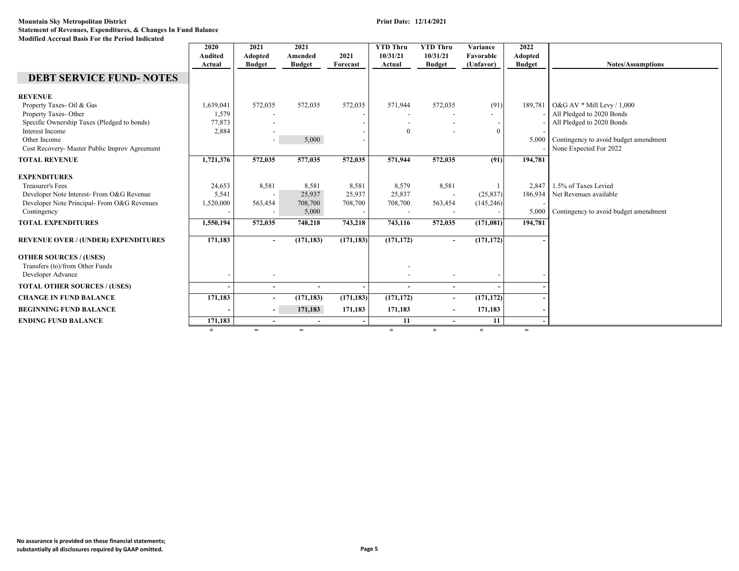|                                                                                       | 2020<br>Audited | 2021<br>Adopted          | 2021<br>Amended | 2021       | <b>YTD Thru</b><br>10/31/21 | <b>YTD Thru</b><br>10/31/21 | Variance<br>Favorable    | 2022<br>Adopted |                                       |
|---------------------------------------------------------------------------------------|-----------------|--------------------------|-----------------|------------|-----------------------------|-----------------------------|--------------------------|-----------------|---------------------------------------|
|                                                                                       | Actual          | <b>Budget</b>            | <b>Budget</b>   | Forecast   | Actual                      | <b>Budget</b>               | (Unfavor)                | <b>Budget</b>   | <b>Notes/Assumptions</b>              |
| <b>DEBT SERVICE FUND- NOTES</b>                                                       |                 |                          |                 |            |                             |                             |                          |                 |                                       |
| <b>REVENUE</b>                                                                        |                 |                          |                 |            |                             |                             |                          |                 |                                       |
| Property Taxes- Oil & Gas                                                             | 1,639,041       | 572,035                  | 572,035         | 572,035    | 571,944                     | 572,035                     | (91)                     | 189,781         | O&G AV $*$ Mill Levy / 1,000          |
| Property Taxes-Other                                                                  | 1,579           |                          |                 |            |                             |                             | $\overline{\phantom{a}}$ |                 | All Pledged to 2020 Bonds             |
| Specific Ownership Taxes (Pledged to bonds)                                           | 77,873          |                          |                 |            |                             |                             |                          |                 | All Pledged to 2020 Bonds             |
| Interest Income                                                                       | 2,884           |                          |                 |            | $\theta$                    |                             | $\Omega$                 |                 |                                       |
| Other Income                                                                          |                 |                          | 5,000           |            |                             |                             |                          | 5,000           | Contingency to avoid budget amendment |
| Cost Recovery- Master Public Improv Agreement                                         |                 |                          |                 |            |                             |                             |                          |                 | None Expected For 2022                |
| <b>TOTAL REVENUE</b>                                                                  | 1,721,376       | 572,035                  | 577,035         | 572,035    | 571,944                     | 572,035                     | (91)                     | 194,781         |                                       |
| <b>EXPENDITURES</b>                                                                   |                 |                          |                 |            |                             |                             |                          |                 |                                       |
| <b>Treasurer's Fees</b>                                                               | 24,653          | 8,581                    | 8.581           | 8,581      | 8,579                       | 8,581                       |                          | 2.847           | 1.5% of Taxes Levied                  |
| Developer Note Interest- From O&G Revenue                                             | 5,541           |                          | 25,937          | 25,937     | 25,837                      | $\overline{\phantom{a}}$    | (25, 837)                | 186,934         | Net Revenues available                |
| Developer Note Principal- From O&G Revenues                                           | 1,520,000       | 563,454                  | 708,700         | 708,700    | 708,700                     | 563,454                     | (145, 246)               |                 |                                       |
| Contingency                                                                           |                 |                          | 5,000           |            |                             |                             |                          | 5,000           | Contingency to avoid budget amendment |
| <b>TOTAL EXPENDITURES</b>                                                             | 1,550,194       | 572,035                  | 748,218         | 743,218    | 743,116                     | 572,035                     | (171, 081)               | 194,781         |                                       |
| <b>REVENUE OVER / (UNDER) EXPENDITURES</b>                                            | 171,183         | $\overline{\phantom{a}}$ | (171, 183)      | (171, 183) | (171, 172)                  | $\overline{\phantom{a}}$    | (171, 172)               |                 |                                       |
| <b>OTHER SOURCES / (USES)</b><br>Transfers (to)/from Other Funds<br>Developer Advance |                 |                          |                 |            |                             |                             |                          |                 |                                       |
|                                                                                       |                 |                          |                 |            |                             |                             |                          |                 |                                       |
| <b>TOTAL OTHER SOURCES / (USES)</b>                                                   |                 | $\overline{\phantom{0}}$ |                 |            | $\overline{\phantom{0}}$    | $\overline{\phantom{a}}$    |                          |                 |                                       |
| <b>CHANGE IN FUND BALANCE</b>                                                         | 171,183         | $\overline{\phantom{a}}$ | (171, 183)      | (171, 183) | (171, 172)                  | $\overline{\phantom{a}}$    | (171, 172)               |                 |                                       |
| <b>BEGINNING FUND BALANCE</b>                                                         |                 | $\overline{\phantom{a}}$ | 171,183         | 171,183    | 171,183                     | $\blacksquare$              | 171,183                  |                 |                                       |
| <b>ENDING FUND BALANCE</b>                                                            | 171,183         |                          |                 |            | 11                          | $\blacksquare$              | 11                       |                 |                                       |
|                                                                                       | $=$             | $=$                      | $=$             |            | $=$                         | $=$                         | $=$                      | $=$             |                                       |